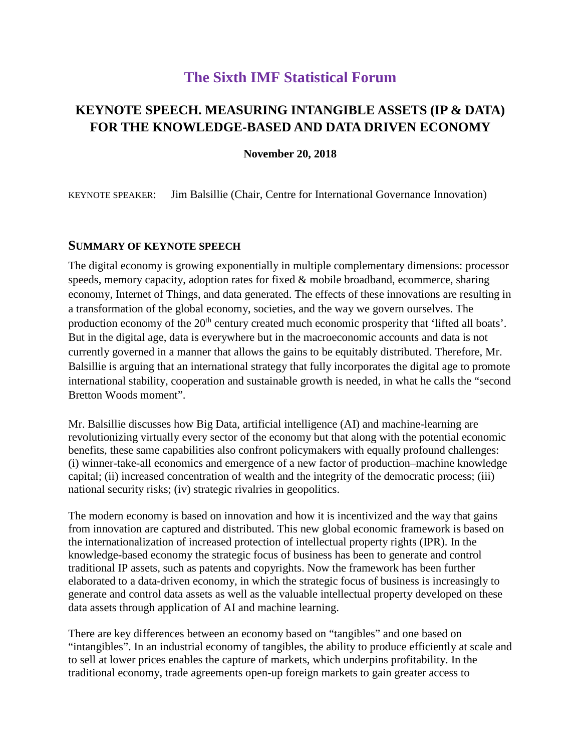## **The Sixth IMF Statistical Forum**

## **KEYNOTE SPEECH. MEASURING INTANGIBLE ASSETS (IP & DATA) FOR THE KNOWLEDGE-BASED AND DATA DRIVEN ECONOMY**

**November 20, 2018** 

KEYNOTE SPEAKER: Jim Balsillie (Chair, Centre for International Governance Innovation)

## **SUMMARY OF KEYNOTE SPEECH**

The digital economy is growing exponentially in multiple complementary dimensions: processor speeds, memory capacity, adoption rates for fixed & mobile broadband, ecommerce, sharing economy, Internet of Things, and data generated. The effects of these innovations are resulting in a transformation of the global economy, societies, and the way we govern ourselves. The production economy of the 20<sup>th</sup> century created much economic prosperity that 'lifted all boats'. But in the digital age, data is everywhere but in the macroeconomic accounts and data is not currently governed in a manner that allows the gains to be equitably distributed. Therefore, Mr. Balsillie is arguing that an international strategy that fully incorporates the digital age to promote international stability, cooperation and sustainable growth is needed, in what he calls the "second Bretton Woods moment".

Mr. Balsillie discusses how Big Data, artificial intelligence (AI) and machine-learning are revolutionizing virtually every sector of the economy but that along with the potential economic benefits, these same capabilities also confront policymakers with equally profound challenges: (i) winner-take-all economics and emergence of a new factor of production–machine knowledge capital; (ii) increased concentration of wealth and the integrity of the democratic process; (iii) national security risks; (iv) strategic rivalries in geopolitics.

The modern economy is based on innovation and how it is incentivized and the way that gains from innovation are captured and distributed. This new global economic framework is based on the internationalization of increased protection of intellectual property rights (IPR). In the knowledge-based economy the strategic focus of business has been to generate and control traditional IP assets, such as patents and copyrights. Now the framework has been further elaborated to a data-driven economy, in which the strategic focus of business is increasingly to generate and control data assets as well as the valuable intellectual property developed on these data assets through application of AI and machine learning.

There are key differences between an economy based on "tangibles" and one based on "intangibles". In an industrial economy of tangibles, the ability to produce efficiently at scale and to sell at lower prices enables the capture of markets, which underpins profitability. In the traditional economy, trade agreements open-up foreign markets to gain greater access to